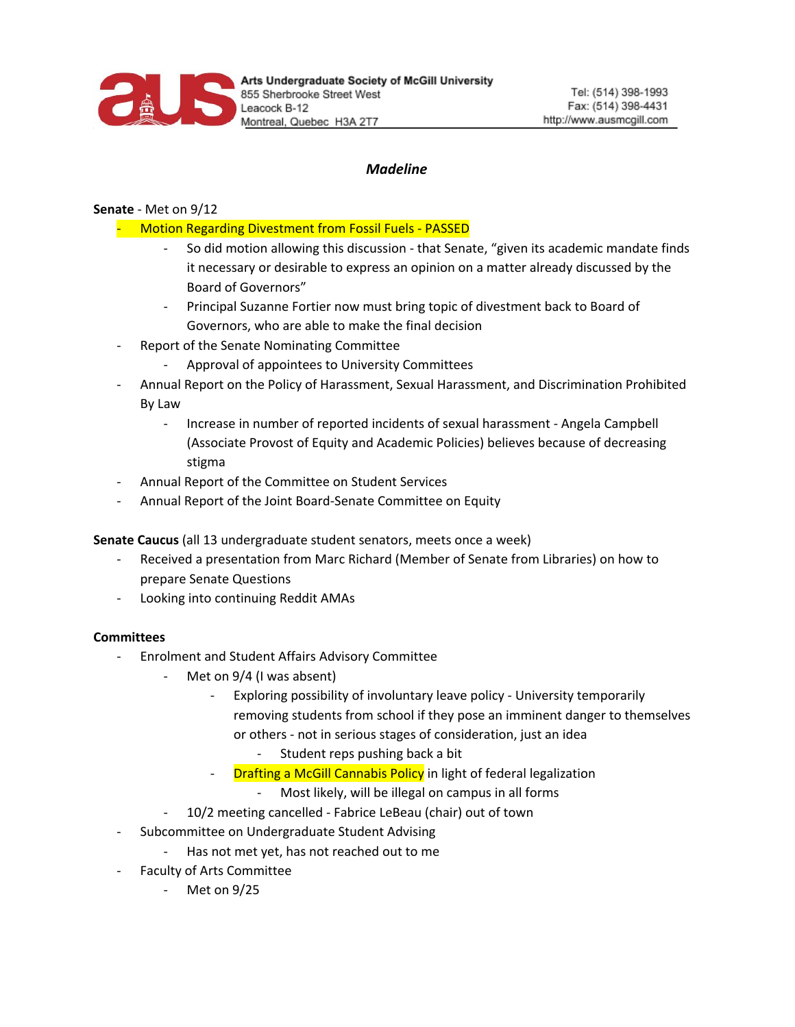

# *Madeline*

## **Senate** - Met on 9/12

- Motion Regarding Divestment from Fossil Fuels PASSED
	- So did motion allowing this discussion that Senate, "given its academic mandate finds it necessary or desirable to express an opinion on a matter already discussed by the Board of Governors"
	- Principal Suzanne Fortier now must bring topic of divestment back to Board of Governors, who are able to make the final decision
- Report of the Senate Nominating Committee
	- Approval of appointees to University Committees
- Annual Report on the Policy of Harassment, Sexual Harassment, and Discrimination Prohibited By Law
	- Increase in number of reported incidents of sexual harassment Angela Campbell (Associate Provost of Equity and Academic Policies) believes because of decreasing stigma
- Annual Report of the Committee on Student Services
- Annual Report of the Joint Board-Senate Committee on Equity

**Senate Caucus** (all 13 undergraduate student senators, meets once a week)

- Received a presentation from Marc Richard (Member of Senate from Libraries) on how to prepare Senate Questions
- Looking into continuing Reddit AMAs

#### **Committees**

- Enrolment and Student Affairs Advisory Committee
	- Met on 9/4 (I was absent)
		- Exploring possibility of involuntary leave policy University temporarily removing students from school if they pose an imminent danger to themselves or others - not in serious stages of consideration, just an idea
			- Student reps pushing back a bit
		- **Drafting a McGill Cannabis Policy** in light of federal legalization
			- Most likely, will be illegal on campus in all forms
		- 10/2 meeting cancelled Fabrice LeBeau (chair) out of town
- Subcommittee on Undergraduate Student Advising
	- Has not met yet, has not reached out to me
- Faculty of Arts Committee
	- Met on 9/25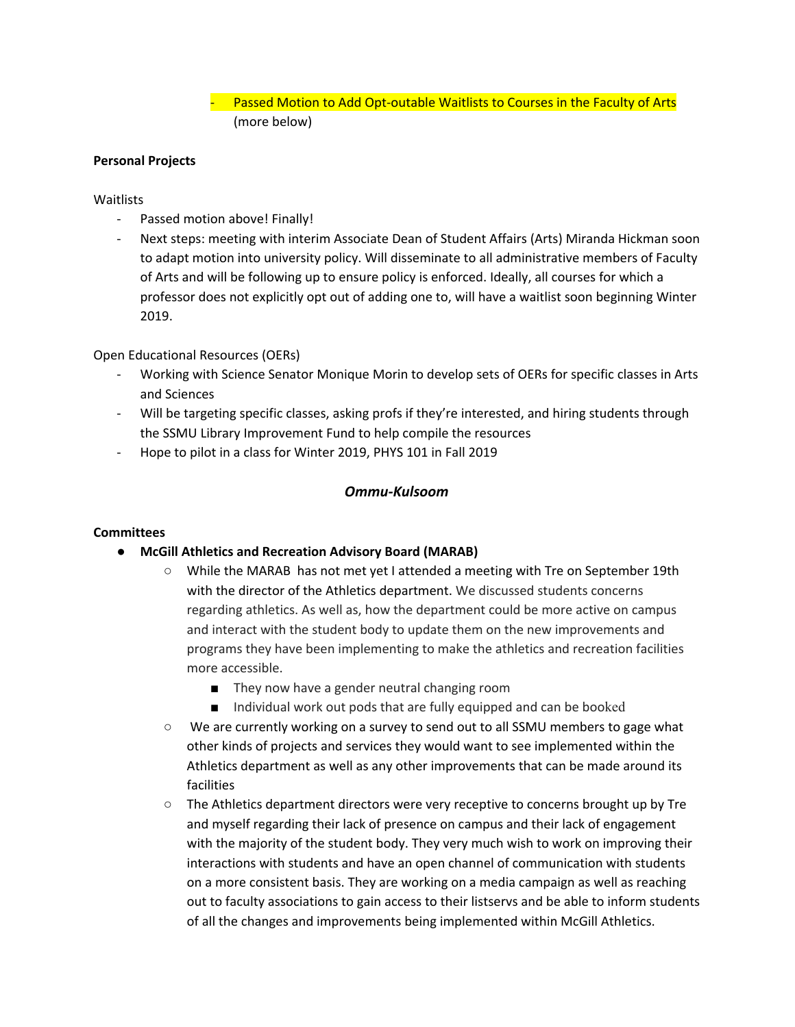Passed Motion to Add Opt-outable Waitlists to Courses in the Faculty of Arts (more below)

### **Personal Projects**

#### **Waitlists**

- Passed motion above! Finally!
- Next steps: meeting with interim Associate Dean of Student Affairs (Arts) Miranda Hickman soon to adapt motion into university policy. Will disseminate to all administrative members of Faculty of Arts and will be following up to ensure policy is enforced. Ideally, all courses for which a professor does not explicitly opt out of adding one to, will have a waitlist soon beginning Winter 2019.

### Open Educational Resources (OERs)

- Working with Science Senator Monique Morin to develop sets of OERs for specific classes in Arts and Sciences
- Will be targeting specific classes, asking profs if they're interested, and hiring students through the SSMU Library Improvement Fund to help compile the resources
- Hope to pilot in a class for Winter 2019, PHYS 101 in Fall 2019

### *Ommu-Kulsoom*

#### **Committees**

- **● McGill Athletics and Recreation Advisory Board (MARAB)**
	- While the MARAB has not met yet I attended a meeting with Tre on September 19th with the director of the Athletics department. We discussed students concerns regarding athletics. As well as, how the department could be more active on campus and interact with the student body to update them on the new improvements and programs they have been implementing to make the athletics and recreation facilities more accessible.
		- They now have a gender neutral changing room
		- Individual work out pods that are fully equipped and can be booked
	- We are currently working on a survey to send out to all SSMU members to gage what other kinds of projects and services they would want to see implemented within the Athletics department as well as any other improvements that can be made around its facilities
	- The Athletics department directors were very receptive to concerns brought up by Tre and myself regarding their lack of presence on campus and their lack of engagement with the majority of the student body. They very much wish to work on improving their interactions with students and have an open channel of communication with students on a more consistent basis. They are working on a media campaign as well as reaching out to faculty associations to gain access to their listservs and be able to inform students of all the changes and improvements being implemented within McGill Athletics.